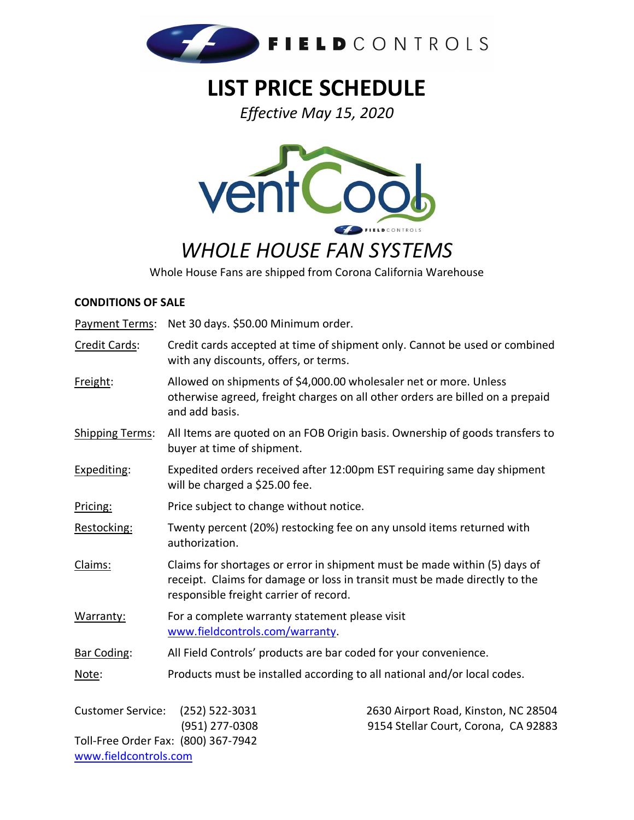

# **LIST PRICE SCHEDULE**

*Effective May 15, 2020* 



# *WHOLE HOUSE FAN SYSTEMS*

Whole House Fans are shipped from Corona California Warehouse

#### **CONDITIONS OF SALE**

Payment Terms: Net 30 days. \$50.00 Minimum order.

- Credit Cards: Credit cards accepted at time of shipment only. Cannot be used or combined with any discounts, offers, or terms.
- Freight: Allowed on shipments of \$4,000.00 wholesaler net or more. Unless otherwise agreed, freight charges on all other orders are billed on a prepaid and add basis.
- Shipping Terms: All Items are quoted on an FOB Origin basis. Ownership of goods transfers to buyer at time of shipment.
- Expediting: Expedited orders received after 12:00pm EST requiring same day shipment will be charged a \$25.00 fee.
- Pricing: Price subject to change without notice.
- Restocking: Twenty percent (20%) restocking fee on any unsold items returned with authorization.
- Claims: Claims for shortages or error in shipment must be made within (5) days of receipt. Claims for damage or loss in transit must be made directly to the responsible freight carrier of record.
- Warranty: For a complete warranty statement please visit [www.fieldcontrols.com/warranty.](\\FCFS-WS12R2\FCShares\Sales\Sales Administration\Pricing\2016 pricing\www.fieldcontrols.com\warranty)
- Bar Coding: All Field Controls' products are bar coded for your convenience.
- Note: Products must be installed according to all national and/or local codes.

Customer Service: (252) 522-3031 2630 Airport Road, Kinston, NC 28504 Toll-Free Order Fax: (800) 367-7942 [www.fieldcontrols.com](http://www.fieldcontrols.com/)

(951) 277-0308 9154 Stellar Court, Corona, CA 92883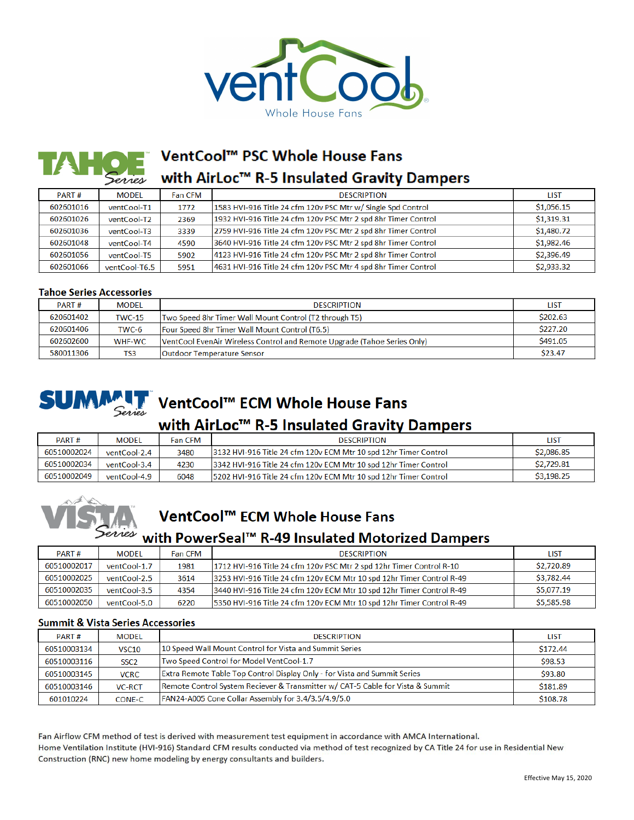

## VentCool™ PSC Whole House Fans with AirLoc™ R-5 Insulated Gravity Dampers

| PART#     | <b>MODEL</b>  | <b>Fan CFM</b> | <b>DESCRIPTION</b>                                             | <b>LIST</b> |
|-----------|---------------|----------------|----------------------------------------------------------------|-------------|
| 602601016 | ventCool-T1   | 1772           | 1583 HVI-916 Title 24 cfm 120v PSC Mtr w/ Single Spd Control   | \$1,056.15  |
| 602601026 | ventCool-T2   | 2369           | 1932 HVI-916 Title 24 cfm 120v PSC Mtr 2 spd 8hr Timer Control | \$1,319.31  |
| 602601036 | ventCool-T3   | 3339           | 2759 HVI-916 Title 24 cfm 120v PSC Mtr 2 spd 8hr Timer Control | \$1,480.72  |
| 602601048 | ventCool-T4   | 4590           | 3640 HVI-916 Title 24 cfm 120v PSC Mtr 2 spd 8hr Timer Control | \$1,982.46  |
| 602601056 | ventCool-T5   | 5902           | 4123 HVI-916 Title 24 cfm 120v PSC Mtr 2 spd 8hr Timer Control | \$2,396.49  |
| 602601066 | ventCool-T6.5 | 5951           | 4631 HVI-916 Title 24 cfm 120v PSC Mtr 4 spd 8hr Timer Control | \$2,933.32  |

#### **Tahoe Series Accessories**

| PART#     | <b>MODEL</b>  | <b>DESCRIPTION</b>                                                       | <b>LIST</b> |
|-----------|---------------|--------------------------------------------------------------------------|-------------|
| 620601402 | <b>TWC-15</b> | Two Speed 8hr Timer Wall Mount Control (T2 through T5)                   | \$202.63    |
| 620601406 | TWC-6         | Four Speed 8hr Timer Wall Mount Control (T6.5)                           | \$227.20    |
| 602602600 | WHF-WC        | VentCool EvenAir Wireless Control and Remote Upgrade (Tahoe Series Only) | S491.05     |
| 580011306 | TS3           | Outdoor Temperature Sensor                                               | \$23.47     |



# **SUMMALT** VentCool™ ECM Whole House Fans

### with AirLoc<sup>™</sup> R-5 Insulated Gravity Dampers

| PART#       | <b>MODEL</b> | Fan CFM | <b>DESCRIPTION</b>                                                | list       |
|-------------|--------------|---------|-------------------------------------------------------------------|------------|
| 60510002024 | ventCool-2.4 | 3480    | 13132 HVI-916 Title 24 cfm 120v ECM Mtr 10 spd 12hr Timer Control | \$2,086.85 |
| 60510002034 | ventCool-3.4 | 4230    | 3342 HVI-916 Title 24 cfm 120v ECM Mtr 10 spd 12hr Timer Control  | \$2,729.81 |
| 60510002049 | ventCool-4.9 | 6048    | 15202 HVI-916 Title 24 cfm 120v ECM Mtr 10 spd 12hr Timer Control | \$3,198.25 |



## VentCool<sup>™</sup> ECM Whole House Fans

### with PowerSeal™ R-49 Insulated Motorized Dampers

| PART#       | <b>MODEL</b> | <b>Fan CFM</b> | <b>DESCRIPTION</b>                                                    | <b>LIST</b> |
|-------------|--------------|----------------|-----------------------------------------------------------------------|-------------|
| 60510002017 | ventCool-1.7 | 1981           | 1712 HVI-916 Title 24 cfm 120v PSC Mtr 2 spd 12hr Timer Control R-10  | \$2,720.89  |
| 60510002025 | ventCool-2.5 | 3614           | 3253 HVI-916 Title 24 cfm 120v ECM Mtr 10 spd 12hr Timer Control R-49 | \$3,782.44  |
| 60510002035 | ventCool-3.5 | 4354           | 3440 HVI-916 Title 24 cfm 120v ECM Mtr 10 spd 12hr Timer Control R-49 | \$5,077.19  |
| 60510002050 | ventCool-5.0 | 6220           | 5350 HVI-916 Title 24 cfm 120v ECM Mtr 10 spd 12hr Timer Control R-49 | \$5,585.98  |

#### **Summit & Vista Series Accessories**

| PART#       | <b>MODEL</b>      | <b>DESCRIPTION</b>                                                             | <b>LIST</b> |
|-------------|-------------------|--------------------------------------------------------------------------------|-------------|
| 60510003134 | VSC <sub>10</sub> | 10 Speed Wall Mount Control for Vista and Summit Series                        | \$172.44    |
| 60510003116 | SSC <sub>2</sub>  | Two Speed Control for Model VentCool-1.7                                       | \$98.53     |
| 60510003145 | <b>VCRC</b>       | Extra Remote Table Top Control Display Only - for Vista and Summit Series      | \$93.80     |
| 60510003146 | <b>VC-RCT</b>     | Remote Control System Reciever & Transmitter w/ CAT-5 Cable for Vista & Summit | \$181.89    |
| 601010224   | CONE-C            | FAN24-A005 Cone Collar Assembly for 3.4/3.5/4.9/5.0                            | \$108.78    |

Fan Airflow CFM method of test is derived with measurement test equipment in accordance with AMCA International. Home Ventilation Institute (HVI-916) Standard CFM results conducted via method of test recognized by CA Title 24 for use in Residential New Construction (RNC) new home modeling by energy consultants and builders.